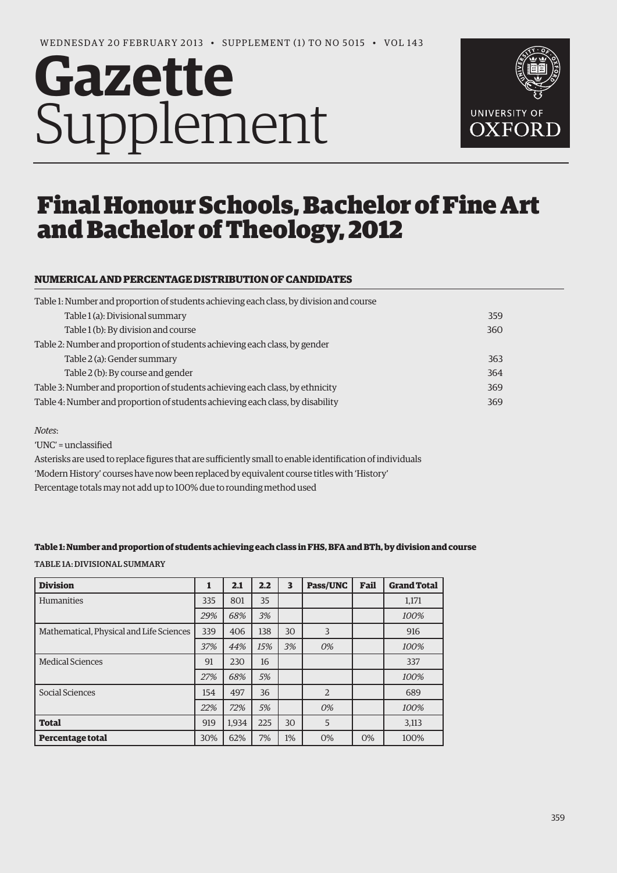# **Gazette** Supplement



# Final Honour Schools, Bachelor of Fine Art and Bachelor of Theology, 2012

## **NUMERICAL AND PERCENTAGE DISTRIBUTION OF CANDIDATES**

| Table 1: Number and proportion of students achieving each class, by division and course |     |
|-----------------------------------------------------------------------------------------|-----|
| Table 1 (a): Divisional summary                                                         | 359 |
| Table 1 (b): By division and course                                                     | 360 |
| Table 2: Number and proportion of students achieving each class, by gender              |     |
| Table 2 (a): Gender summary                                                             | 363 |
| Table 2 (b): By course and gender                                                       | 364 |
| Table 3: Number and proportion of students achieving each class, by ethnicity           | 369 |
| Table 4: Number and proportion of students achieving each class, by disability          | 369 |

#### *Notes*:

'UNC' = unclassified

Asterisks are used to replace figures that are sufficiently small to enable identification of individuals 'Modern History' courses have now been replaced by equivalent course titles with 'History' Percentage totals may not add up to 100% due to rounding method used

#### **Table 1: Number and proportion of students achieving each class in FHS, BFA and BTh, by division and course**

Table 1a: Divisional Summary

| <b>Division</b>                          | 1   | 2.1   | 2.2 | 3  | Pass/UNC       | Fail | <b>Grand Total</b> |
|------------------------------------------|-----|-------|-----|----|----------------|------|--------------------|
| <b>Humanities</b>                        | 335 | 801   | 35  |    |                |      | 1,171              |
|                                          | 29% | 68%   | 3%  |    |                |      | 100%               |
| Mathematical, Physical and Life Sciences | 339 | 406   | 138 | 30 | 3              |      | 916                |
|                                          | 37% | 44%   | 15% | 3% | 0%             |      | 100%               |
| <b>Medical Sciences</b>                  | 91  | 230   | 16  |    |                |      | 337                |
|                                          | 27% | 68%   | 5%  |    |                |      | 100%               |
| Social Sciences                          | 154 | 497   | 36  |    | $\overline{2}$ |      | 689                |
|                                          | 22% | 72%   | 5%  |    | 0%             |      | 100%               |
| <b>Total</b>                             | 919 | 1.934 | 225 | 30 | 5              |      | 3,113              |
| <b>Percentage total</b>                  | 30% | 62%   | 7%  | 1% | 0%             | 0%   | 100%               |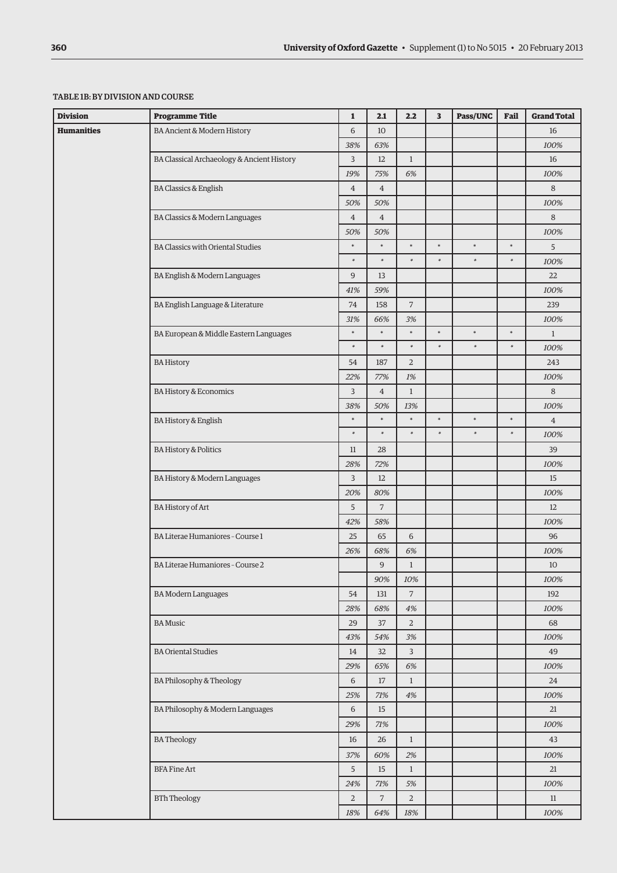#### Table 1b: By division and course

| <b>Division</b>                                                   | <b>Programme Title</b>                                                                                          | $\mathbf{1}$   | 2.1            | 2.2            | 3      | Pass/UNC | Fail   | <b>Grand Total</b> |
|-------------------------------------------------------------------|-----------------------------------------------------------------------------------------------------------------|----------------|----------------|----------------|--------|----------|--------|--------------------|
| <b>Humanities</b>                                                 | BA Ancient & Modern History                                                                                     | 6              | 10             |                |        |          |        | 16                 |
|                                                                   |                                                                                                                 | 38%            | 63%            |                |        |          |        | 100%               |
|                                                                   | BA Classical Archaeology & Ancient History                                                                      | 3              | 12             | $\mathbf{1}$   |        |          |        | 16                 |
|                                                                   | <b>BA Classics &amp; English</b>                                                                                |                |                |                |        |          |        | 100%               |
|                                                                   | $\overline{4}$                                                                                                  | $\overline{4}$ |                |                |        |          | 8      |                    |
| BA Classics & Modern Languages                                    |                                                                                                                 |                | 50%            |                |        |          |        | 100%               |
|                                                                   |                                                                                                                 |                | $\overline{4}$ |                |        |          |        | 8                  |
|                                                                   |                                                                                                                 | 50%            | 50%            |                |        |          |        | 100%               |
|                                                                   | $\ast$<br><b>BA Classics with Oriental Studies</b><br>$\ast$<br>$\overline{9}$<br>BA English & Modern Languages |                | $\ast$         | $\ast$         | $\ast$ | $\ast$   | $\ast$ | 5                  |
|                                                                   |                                                                                                                 |                | $\ast$         | $\ast$         | $\ast$ | $\ast$   | $\ast$ | 100%               |
|                                                                   |                                                                                                                 |                | 13             |                |        |          |        | 22                 |
|                                                                   |                                                                                                                 | 41%            | 59%            |                |        |          |        | 100%               |
|                                                                   | BA English Language & Literature<br>74<br>31%<br>BA European & Middle Eastern Languages                         |                | 158            | $\overline{7}$ |        |          |        | 239                |
|                                                                   |                                                                                                                 |                | 66%            | 3%             |        |          |        | 100%               |
|                                                                   |                                                                                                                 |                | $\ast$         | $\ast$         | $\ast$ | $\ast$   | $\ast$ | $\mathbf{1}$       |
|                                                                   |                                                                                                                 | $\ast$         | $\ast$         | $\ast$         | $\ast$ | $\ast$   | $\ast$ | 100%               |
|                                                                   | <b>BA History</b>                                                                                               | 54             | 187            | $\overline{2}$ |        |          |        | 243                |
|                                                                   | <b>BA History &amp; Economics</b>                                                                               |                | 77%            | $1\%$          |        |          |        | 100%               |
|                                                                   |                                                                                                                 |                | $\overline{4}$ | $\mathbf{1}$   |        |          |        | 8                  |
|                                                                   |                                                                                                                 | 38%            | 50%            | 13%            |        |          |        | 100%               |
|                                                                   | BA History & English                                                                                            | $\ast$         | $\ast$         | $\ast$         | $\ast$ | $\ast$   | $\ast$ | $\overline{4}$     |
|                                                                   |                                                                                                                 | $\ast$         | $\ast$         | $\ast$         | $\ast$ | $\ast$   | $\ast$ | 100%               |
| <b>BA History &amp; Politics</b><br>BA History & Modern Languages | 11                                                                                                              | 28             |                |                |        |          | 39     |                    |
|                                                                   | 28%                                                                                                             | 72%            |                |                |        |          | 100%   |                    |
|                                                                   | 3                                                                                                               | 12             |                |                |        |          | 15     |                    |
|                                                                   |                                                                                                                 | 20%            | 80%            |                |        |          |        | 100%               |
|                                                                   | <b>BA History of Art</b>                                                                                        | 5              | $\overline{7}$ |                |        |          |        | 12                 |
|                                                                   |                                                                                                                 | 42%            | 58%            |                |        |          |        | 100%               |
|                                                                   | BA Literae Humaniores - Course 1                                                                                | 25             | 65             | 6              |        |          |        | 96                 |
|                                                                   |                                                                                                                 | 26%            | 68%            | 6%             |        |          |        | 100%               |
|                                                                   | BA Literae Humaniores - Course 2                                                                                |                | 9              | $\mathbf{1}$   |        |          |        | 10                 |
|                                                                   |                                                                                                                 |                | 90%            | 10%            |        |          |        | 100%               |
|                                                                   | <b>BA Modern Languages</b>                                                                                      | 54             | 131            | $\overline{7}$ |        |          |        | 192                |
|                                                                   |                                                                                                                 | 28%            | 68%            | 4%             |        |          |        | 100%               |
|                                                                   | <b>BA</b> Music                                                                                                 | 29             | 37             | $\overline{2}$ |        |          |        | 68                 |
|                                                                   |                                                                                                                 | 43%            | 54%            | 3%             |        |          |        | 100%               |
|                                                                   | <b>BA Oriental Studies</b>                                                                                      | 14             | 32             | $\overline{3}$ |        |          |        | 49                 |
|                                                                   |                                                                                                                 | 29%            | 65%            | 6%             |        |          |        | 100%               |
|                                                                   | BA Philosophy & Theology                                                                                        | 6              | $17\,$         | $\mathbf{1}$   |        |          |        | 24                 |
|                                                                   |                                                                                                                 | 25%            | 71%            | 4%             |        |          |        | 100%               |
|                                                                   | BA Philosophy & Modern Languages                                                                                | 6              | 15             |                |        |          |        | 21                 |
|                                                                   |                                                                                                                 | 29%            | 71%            |                |        |          |        | 100%               |
|                                                                   | <b>BATheology</b>                                                                                               | 16             | 26             | $\mathbf{1}$   |        |          |        | 43                 |
|                                                                   |                                                                                                                 | 37%            | 60%            | 2%             |        |          |        | 100%               |
|                                                                   | <b>BFA Fine Art</b>                                                                                             | 5              | 15             | $\mathbf{1}$   |        |          |        | 21                 |
|                                                                   |                                                                                                                 | 24%            | 71%            | 5%             |        |          |        | 100%               |
|                                                                   | <b>BTh Theology</b>                                                                                             | $\sqrt{2}$     | $\overline{7}$ | $\sqrt{2}$     |        |          |        | $11\,$             |
|                                                                   |                                                                                                                 | 18%            | 64%            | 18%            |        |          |        | 100%               |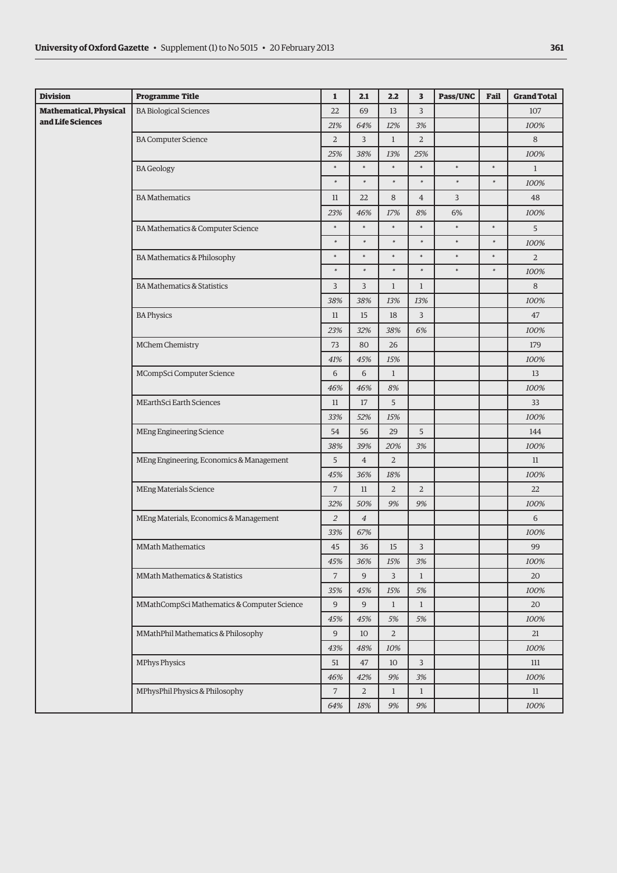| <b>Division</b>                                       | <b>Programme Title</b>                      | $\mathbf{1}$          | 2.1            | 2.2            | 3              | Pass/UNC | Fail   | <b>Grand Total</b> |
|-------------------------------------------------------|---------------------------------------------|-----------------------|----------------|----------------|----------------|----------|--------|--------------------|
| <b>Mathematical, Physical</b>                         | <b>BA Biological Sciences</b>               | 22                    | 69             | 13             | $\overline{3}$ |          |        | 107                |
| and Life Sciences                                     |                                             | 21%                   | 64%            | 12%            | 3%             |          |        | 100%               |
|                                                       | <b>BA Computer Science</b>                  | $\overline{2}$        | 3              | $\mathbf{1}$   | $\overline{2}$ |          |        | 8                  |
|                                                       |                                             | 25%                   | 38%            | 13%            | 25%            |          |        | 100%               |
|                                                       | <b>BA</b> Geology                           | $\ast$                | $\ast$         | *              | $\ast$         | $\ast$   | $\ast$ | $\mathbf{1}$       |
|                                                       |                                             | $\ast$                | $\ast$         | $\ast$         | $\ast$         | $\ast$   | $\ast$ | 100%               |
|                                                       | <b>BA</b> Mathematics                       | 11                    | 22             | 8              | $\overline{4}$ | 3        |        | 48                 |
|                                                       |                                             | 23%                   | 46%            | 17%            | 8%             | 6%       |        | 100%               |
|                                                       | BA Mathematics & Computer Science           | $\ast$                | *              | $\ast$         | $\ast$         | *        | $\ast$ | 5                  |
|                                                       |                                             | $\ast$                | $\ast$         | $\ast$         | $\ast$         | $\ast$   | $\ast$ | 100%               |
|                                                       | BA Mathematics & Philosophy                 | $\ast$                | $\ast$         | $\ast$         | $\ast$         | $\ast$   | $\ast$ | $\overline{2}$     |
|                                                       |                                             | $\ast$                | $\ast$         | $\ast$         | $\ast$         | $\ast$   | $\ast$ | 100%               |
|                                                       | <b>BA Mathematics &amp; Statistics</b>      | 3                     | 3              | $\mathbf{1}$   | $\mathbf{1}$   |          |        | 8                  |
|                                                       |                                             | 38%                   | 38%            | 13%            | 13%            |          |        | 100%               |
|                                                       | <b>BA Physics</b>                           | 11                    | 15             | 18             | 3              |          |        | 47                 |
|                                                       |                                             | 23%                   | 32%            | 38%            | 6%             |          |        | 100%               |
|                                                       | MChem Chemistry                             | 73                    | 80             | 26             |                |          |        | 179                |
|                                                       |                                             |                       | 45%            | 15%            |                |          |        | 100%               |
| MCompSci Computer Science<br>MEarthSci Earth Sciences |                                             | 6                     | 6              | $\mathbf{1}$   |                |          |        | 13                 |
|                                                       |                                             | 46%                   | 46%            | $8\%$          |                |          |        | 100%               |
|                                                       |                                             | 11                    | 17             | 5              |                |          |        | 33                 |
|                                                       |                                             |                       | 52%            | 15%            |                |          |        | 100%               |
|                                                       | <b>MEng Engineering Science</b>             | 54                    | 56             | 29             | 5              |          |        | 144                |
|                                                       |                                             | 38%                   | 39%            | 20%            | 3%             |          |        | 100%               |
|                                                       | MEng Engineering, Economics & Management    | 5                     | $\overline{4}$ | 2              |                |          |        | 11                 |
|                                                       |                                             | 45%                   | 36%            | 18%            |                |          |        | 100%               |
|                                                       | <b>MEng Materials Science</b>               | $\overline{7}$        | 11             | $\overline{2}$ | $\overline{2}$ |          |        | 22                 |
|                                                       |                                             | 32%                   | 50%            | 9%             | 9%             |          |        | 100%               |
|                                                       | MEng Materials, Economics & Management      | $\overline{2}$        | $\overline{4}$ |                |                |          |        | 6                  |
|                                                       |                                             | 33%                   | 67%            |                |                |          |        | 100%               |
|                                                       | <b>MMath Mathematics</b>                    | 45                    | 36             | 15             | 3              |          |        | 99                 |
|                                                       |                                             | 45%                   | 36%            | 15%            | 3%             |          |        | 100%               |
|                                                       | MMath Mathematics & Statistics              | $\overline{7}$        | 9              | $\overline{3}$ | $\mathbf{1}$   |          |        | 20                 |
|                                                       |                                             | 35%                   | 45%            | 15%            | 5%             |          |        | 100%               |
|                                                       | MMathCompSci Mathematics & Computer Science | $\mathsf{9}$          | 9              | $\mathbf{1}$   | $\mathbf{1}$   |          |        | 20                 |
|                                                       |                                             | 45%<br>$\overline{9}$ | 45%            | 5%             | 5%             |          |        | 100%               |
|                                                       | MMathPhil Mathematics & Philosophy          |                       | 10             | $\overline{2}$ |                |          |        | 21                 |
|                                                       |                                             | 43%                   | 48%            | 10%            |                |          |        | 100%               |
|                                                       | MPhys Physics                               | 51                    | 47             | 10             | $\overline{3}$ |          |        | 111                |
|                                                       |                                             | 46%                   | 42%            | $9\%$          | 3%             |          |        | 100%               |
|                                                       | MPhysPhil Physics & Philosophy              | $\overline{7}$        | $\overline{2}$ | $\mathbf{1}$   | $\mathbf{1}$   |          |        | 11                 |
|                                                       |                                             | 64%                   | 18%            | $9\%$          | $9\%$          |          |        | 100%               |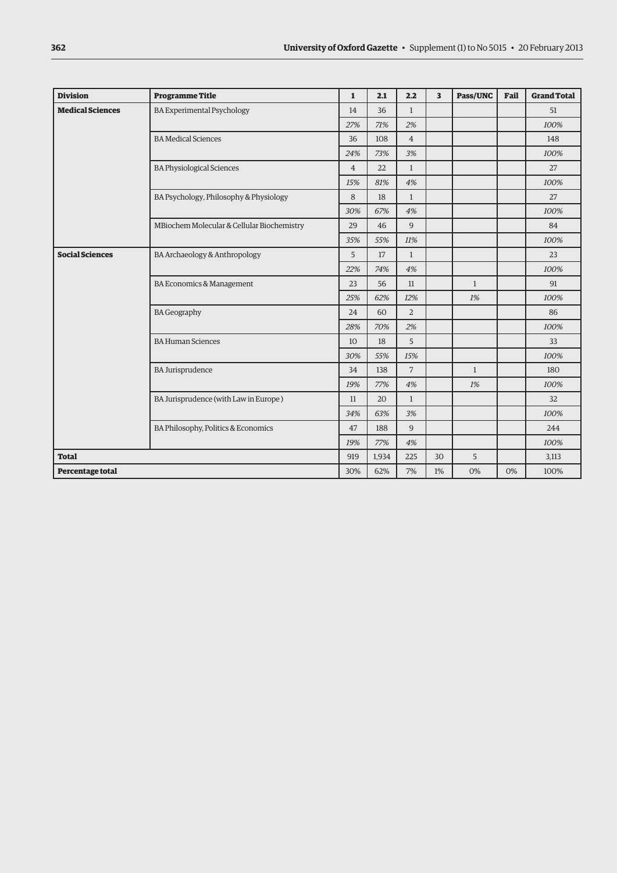| <b>Division</b>                                         | <b>Programme Title</b>                     | $\mathbf{1}$ | 2.1            | 2.2            | $\overline{\mathbf{3}}$ | Pass/UNC     | Fail | <b>Grand Total</b> |
|---------------------------------------------------------|--------------------------------------------|--------------|----------------|----------------|-------------------------|--------------|------|--------------------|
| <b>Medical Sciences</b>                                 | 14                                         | 36           | $\mathbf{1}$   |                |                         |              | 51   |                    |
|                                                         | 27%                                        | 71%          | 2%             |                |                         |              | 100% |                    |
|                                                         | 36                                         | 108          | $\overline{4}$ |                |                         |              | 148  |                    |
|                                                         | 24%                                        | 73%          | 3%             |                |                         |              | 100% |                    |
|                                                         | $\overline{4}$                             | 22           | $\mathbf{1}$   |                |                         |              | 27   |                    |
|                                                         | 15%                                        | 81%          | 4%             |                |                         |              | 100% |                    |
|                                                         | 8                                          | 18           | $\mathbf{1}$   |                |                         |              | 27   |                    |
|                                                         | 30%                                        | 67%          | 4%             |                |                         |              | 100% |                    |
|                                                         | MBiochem Molecular & Cellular Biochemistry | 29           | 46             | 9              |                         |              |      | 84                 |
|                                                         |                                            | 35%          | 55%            | 11%            |                         |              |      | 100%               |
| <b>Social Sciences</b><br>BA Archaeology & Anthropology |                                            | 5            | 17             | $\mathbf{1}$   |                         |              |      | 23                 |
|                                                         |                                            | 22%          | 74%            | 4%             |                         |              |      | 100%               |
|                                                         | BA Economics & Management                  |              | 56             | 11             |                         | $\mathbf{1}$ |      | 91                 |
|                                                         |                                            | 25%          | 62%            | 12%            |                         | 1%           |      | 100%               |
|                                                         | <b>BA Geography</b>                        | 24           | 60             | $\overline{2}$ |                         |              |      | 86                 |
|                                                         |                                            | 28%          | 70%            | 2%             |                         |              |      | 100%               |
|                                                         | <b>BA Human Sciences</b>                   | 10           | 18             | 5              |                         |              |      | 33                 |
|                                                         |                                            | 30%          | 55%            | 15%            |                         |              |      | 100%               |
|                                                         | <b>BA Jurisprudence</b>                    | 34           | 138            | $\overline{7}$ |                         | $\mathbf{1}$ |      | 180                |
|                                                         |                                            | 19%          | 77%            | 4%             |                         | 1%           |      | 100%               |
|                                                         | BA Jurisprudence (with Law in Europe)      | 11           | 20             | $\mathbf{1}$   |                         |              |      | 32                 |
|                                                         |                                            | 34%          | 63%            | 3%             |                         |              |      | 100%               |
|                                                         | BA Philosophy, Politics & Economics        | 47           | 188            | 9              |                         |              |      | 244                |
|                                                         |                                            | 19%          | 77%            | 4%             |                         |              |      | 100%               |
| <b>Total</b>                                            |                                            | 919          | 1,934          | 225            | 30                      | 5            |      | 3,113              |
| Percentage total                                        |                                            | 30%          | 62%            | 7%             | 1%                      | 0%           | 0%   | 100%               |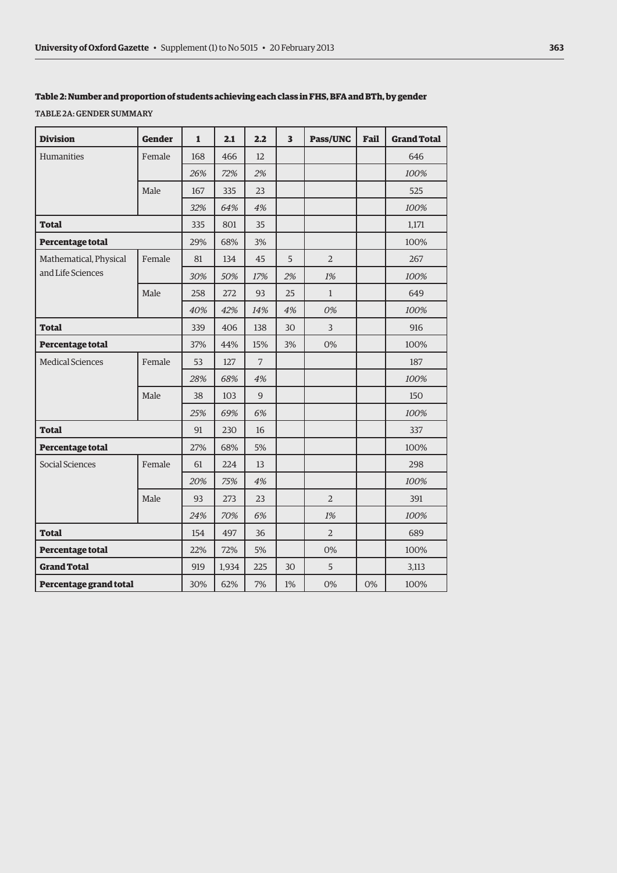#### **Table 2: Number and proportion of students achieving each class in FHS, BFA and BTh, by gender**

Table 2a: Gender summary

| <b>Division</b>         | <b>Gender</b> | 1   | 2.1   | 2.2               | 3  | <b>Pass/UNC</b> | Fail | <b>Grand Total</b> |
|-------------------------|---------------|-----|-------|-------------------|----|-----------------|------|--------------------|
| Humanities              | Female        | 168 | 466   | $12 \overline{ }$ |    |                 |      | 646                |
|                         |               | 26% | 72%   | 2%                |    |                 |      | 100%               |
|                         | Male          | 167 | 335   | 23                |    |                 |      | 525                |
|                         |               | 32% | 64%   | 4%                |    |                 |      | 100%               |
| Total                   |               | 335 | 801   | 35                |    |                 |      | 1,171              |
| Percentage total        |               | 29% | 68%   | 3%                |    |                 |      | 100%               |
| Mathematical, Physical  | Female        | 81  | 134   | 45                | 5  | $\overline{2}$  |      | 267                |
| and Life Sciences       |               | 30% | 50%   | 17%               | 2% | 1%              |      | 100%               |
|                         | Male          | 258 | 272   | 93                | 25 | $\mathbf{1}$    |      | 649                |
|                         |               | 40% | 42%   | 14%               | 4% | 0%              |      | 100%               |
| Total                   |               | 339 | 406   | 138               | 30 | 3               |      | 916                |
| Percentage total        |               | 37% | 44%   | 15%               | 3% | 0%              |      | 100%               |
| <b>Medical Sciences</b> | Female        | 53  | 127   | $\overline{7}$    |    |                 |      | 187                |
|                         |               | 28% | 68%   | 4%                |    |                 |      | 100%               |
|                         | Male          | 38  | 103   | 9                 |    |                 |      | 150                |
|                         |               | 25% | 69%   | 6%                |    |                 |      | 100%               |
| <b>Total</b>            |               | 91  | 230   | 16                |    |                 |      | 337                |
| Percentage total        |               | 27% | 68%   | 5%                |    |                 |      | 100%               |
| Social Sciences         | Female        | 61  | 224   | 13                |    |                 |      | 298                |
|                         |               | 20% | 75%   | 4%                |    |                 |      | 100%               |
|                         | Male          | 93  | 273   | 23                |    | $\overline{2}$  |      | 391                |
|                         |               | 24% | 70%   | 6%                |    | 1%              |      | 100%               |
| <b>Total</b>            |               | 154 | 497   | 36                |    | $\overline{2}$  |      | 689                |
| Percentage total        |               | 22% | 72%   | 5%                |    | 0%              |      | 100%               |
| <b>Grand Total</b>      |               | 919 | 1,934 | 225               | 30 | 5               |      | 3,113              |
| Percentage grand total  |               | 30% | 62%   | 7%                | 1% | 0%              | 0%   | 100%               |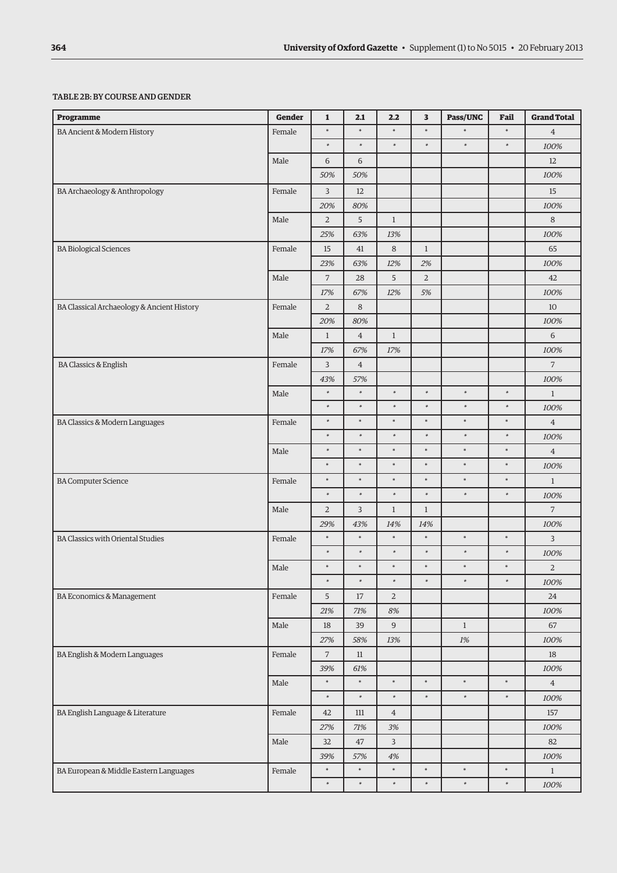#### Table 2b: By course andgender

| Programme                                  | Gender | $\mathbf{1}$   | 2.1            | 2.2            | 3            | Pass/UNC     | Fail   | <b>Grand Total</b> |
|--------------------------------------------|--------|----------------|----------------|----------------|--------------|--------------|--------|--------------------|
| <b>BA Ancient &amp; Modern History</b>     | Female | $\ast$         | $\ast$         | $\ast$         | $\ast$       | $\ast$       | $\ast$ | $\overline{4}$     |
|                                            |        | $\ast$         | $\ast$         | $\ast$         | $\ast$       | $\ast$       | $\ast$ | 100%               |
|                                            | Male   | 6              | 6              |                |              |              |        | $12\,$             |
|                                            |        | 50%            | 50%            |                |              |              |        | 100%               |
| BA Archaeology & Anthropology              | Female | 3              | 12             |                |              |              |        | 15                 |
|                                            |        | 20%            | 80%            |                |              |              |        | 100%               |
|                                            | Male   | $\overline{2}$ | 5              | $\mathbf{1}$   |              |              |        | 8                  |
|                                            |        | 25%            | 63%            | 13%            |              |              |        | 100%               |
| <b>BA Biological Sciences</b>              | Female | 15             | 41             | $\,8\,$        | $\mathbf{1}$ |              |        | 65                 |
|                                            |        | 23%            | 63%            | 12%            | 2%           |              |        | 100%               |
|                                            | Male   | $\overline{7}$ | 28             | 5              | $\sqrt{2}$   |              |        | 42                 |
|                                            |        | 17%            | 67%            | 12%            | 5%           |              |        | 100%               |
| BA Classical Archaeology & Ancient History | Female | $\overline{2}$ | 8              |                |              |              |        | 10                 |
|                                            |        | 20%            | 80%            |                |              |              |        | 100%               |
|                                            | Male   | $\mathbf{1}$   | $\overline{4}$ | $1\,$          |              |              |        | 6                  |
|                                            |        | 17%            | 67%            | 17%            |              |              |        | 100%               |
| <b>BA Classics &amp; English</b>           | Female | 3              | $\,4\,$        |                |              |              |        | $\overline{7}$     |
|                                            |        | 43%            | 57%            |                |              |              |        | 100%               |
|                                            | Male   | $\ast$         | $\ast$         | $\ast$         | $\ast$       | $\ast$       | $\ast$ | $\mathbf{1}$       |
|                                            |        | $\ast$         | $\ast$         | $\ast$         | $\ast$       | $\ast$       | $\ast$ | 100%               |
| BA Classics & Modern Languages             | Female | $\ast$         | $\ast$         | $\ast$         | $\ast$       | $\ast$       | $\ast$ | $\overline{4}$     |
|                                            |        | $\ast$         | $\ast$         | $\ast$         | $\ast$       | $\ast$       | $\ast$ | 100%               |
|                                            | Male   | $\ast$         | $\ast$         | $\ast$         | $\ast$       | $\ast$       | $\ast$ | $\overline{4}$     |
|                                            |        | $\ast$         | $\ast$         | $\ast$         | $\ast$       | $\ast$       | $\ast$ | 100%               |
| <b>BA Computer Science</b>                 | Female | $\ast$         | $\ast$         | $\ast$         | $\ast$       | $\ast$       | $\ast$ | $\mathbf{1}$       |
|                                            |        | $\ast$         | $\ast$         | $\ast$         | $\ast$       | $\ast$       | $\ast$ | 100%               |
|                                            | Male   | $\overline{2}$ | $\mathsf{3}$   | $1\,$          | $\mathbf{1}$ |              |        | $\overline{7}$     |
|                                            |        | 29%            | 43%            | 14%            | 14%          |              |        | 100%               |
| <b>BA Classics with Oriental Studies</b>   | Female | $\ast$         | $\ast$         | $\ast$         | $\ast$       | $\ast$       | $\ast$ | 3                  |
|                                            |        | $\ast$         | $\ast$         | $\ast$         | $\ast$       | $\ast$       | $\ast$ | 100%               |
|                                            | Male   | $\ast$         | $\ast$         | $\ast$         | $\ast$       | $\ast$       | $\ast$ | $\sqrt{2}$         |
|                                            |        | $\ast$         | $\ast$         | $\ast$         | $\ast$       | $\ast$       | $\ast$ | 100%               |
| BA Economics & Management                  | Female | 5 <sup>5</sup> | 17             | $\overline{2}$ |              |              |        | 24                 |
|                                            |        | $21\%$         | 71%            | 8%             |              |              |        | 100%               |
|                                            | Male   | 18             | 39             | $\overline{9}$ |              | $\mathbf{1}$ |        | 67                 |
|                                            |        | 27%            | 58%            | 13%            |              | 1%           |        | 100%               |
| BA English & Modern Languages              | Female | $\overline{7}$ | $11\,$         |                |              |              |        | 18                 |
|                                            |        | 39%<br>$\ast$  | 61%<br>$\ast$  | $\ast$         | $\ast$       | $\ast$       | $\ast$ | 100%               |
|                                            | Male   | $\ast$         | $\ast$         | $\ast$         | $\ast$       | $\ast$       | $\ast$ | $\overline{4}$     |
|                                            |        |                |                |                |              |              |        | 100%               |
| BA English Language & Literature           | Female | 42             | 111            | $\overline{4}$ |              |              |        | 157                |
|                                            |        | 27%            | $71\%$         | 3%             |              |              |        | 100%               |
|                                            | Male   | 32             | 47             | $\overline{3}$ |              |              |        | 82                 |
| BA European & Middle Eastern Languages     | Female | 39%<br>$\ast$  | 57%<br>$\ast$  | 4%<br>$\ast$   | $\ast$       | $\ast$       | $\ast$ | 100%<br>$1\,$      |
|                                            |        | $\ast$         | $\ast$         | $\ast$         | $\ast$       | $\ast$       | $\ast$ | 100%               |
|                                            |        |                |                |                |              |              |        |                    |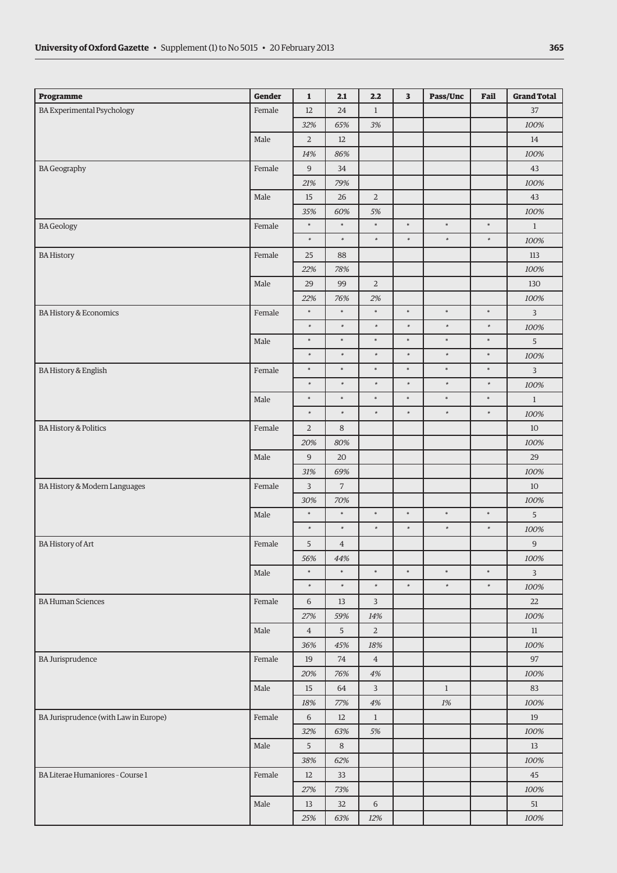| <b>Programme</b>                      | Gender | $\mathbf{1}$   | 2.1            | 2.2            | 3      | Pass/Unc     | Fail   | <b>Grand Total</b> |
|---------------------------------------|--------|----------------|----------------|----------------|--------|--------------|--------|--------------------|
| <b>BA Experimental Psychology</b>     | Female | 12             | 24             | $\mathbf{1}$   |        |              |        | 37                 |
|                                       |        | 32%            | 65%            | 3%             |        |              |        | 100%               |
|                                       | Male   | $\overline{2}$ | 12             |                |        |              |        | 14                 |
|                                       |        | 14%            | 86%            |                |        |              |        | 100%               |
| <b>BA Geography</b>                   | Female | $\overline{9}$ | 34             |                |        |              |        | 43                 |
|                                       |        | 21%            | 79%            |                |        |              |        | 100%               |
|                                       | Male   | 15             | 26             | $\sqrt{2}$     |        |              |        | $43\,$             |
|                                       |        | 35%            | 60%            | 5%             |        |              |        | 100%               |
| <b>BA</b> Geology                     | Female | $\ast$         | $\ast$         | $\ast$         | $\ast$ | $\ast$       | $\ast$ | $\mathbf{1}$       |
|                                       |        | $\ast$         | $\ast$         | $\ast$         | $\ast$ | $\ast$       | $\ast$ | 100%               |
| <b>BA History</b>                     | Female | 25             | 88             |                |        |              |        | 113                |
|                                       |        | 22%            | 78%            |                |        |              |        | 100%               |
|                                       | Male   | 29             | 99             | $\sqrt{2}$     |        |              |        | 130                |
|                                       |        | 22%            | 76%            | 2%             |        |              |        | 100%               |
| BA History & Economics                | Female | $\ast$         | $\ast$         | $\ast$         | $\ast$ | $\ast$       | $\ast$ | 3                  |
|                                       |        | $\ast$         | $\ast$         | $\ast$         | $\ast$ | $\ast$       | $\ast$ | 100%               |
|                                       | Male   | $\ast$         | $\ast$         | $\ast$         | $\ast$ | $\ast$       | $\ast$ | 5                  |
|                                       |        | $\ast$         | $\ast$         | $\ast$         | $\ast$ | $\ast$       | $\ast$ | $100\%$            |
| <b>BA History &amp; English</b>       | Female | $\ast$         | $\ast$         | $\ast$         | $\ast$ | $\ast$       | $\ast$ | $\mathbf{3}$       |
|                                       |        | $\ast$         | $\ast$         | $\ast$         | $\ast$ | $\ast$       | $\ast$ | 100%               |
|                                       | Male   | $\ast$         | $\ast$         | $\ast$         | $\ast$ | $\ast$       | $\ast$ | $\mathbf{1}$       |
|                                       |        | $\ast$         | $\ast$         | $\ast$         | $\ast$ | $\ast$       | $\ast$ | 100%               |
| <b>BA History &amp; Politics</b>      | Female | $\overline{2}$ | $\,8\,$        |                |        |              |        | $10\,$             |
|                                       |        | 20%            | 80%            |                |        |              |        | 100%               |
|                                       | Male   | 9              | 20             |                |        |              |        | 29                 |
|                                       |        | 31%            | 69%            |                |        |              |        | 100%               |
| BA History & Modern Languages         | Female | $\overline{3}$ | $\overline{7}$ |                |        |              |        | 10                 |
|                                       |        | 30%            | 70%            |                |        |              |        | 100%               |
|                                       | Male   | $\ast$         | $\ast$         | $\ast$         | $\ast$ | $\ast$       | $\ast$ | $5\phantom{.0}$    |
|                                       |        | $\ast$         | $\ast$         | $\ast$         | $\ast$ | $\ast$       | $\ast$ | 100%               |
| <b>BA History of Art</b>              | Female | 5              | $\overline{4}$ |                |        |              |        | $\boldsymbol{9}$   |
|                                       |        | 56%            | 44%            |                |        |              |        | 100%               |
|                                       | Male   | $\ast$         | $\ast$         | $\ast$         | $\ast$ | $\ast$       | $\ast$ | $\overline{3}$     |
|                                       |        | $\ast$         | $\ast$         | $\ast$         | $\ast$ | $\ast$       | $\ast$ | 100%               |
| <b>BA Human Sciences</b>              | Female | 6              | 13             | $\mathbf{3}$   |        |              |        | 22                 |
|                                       |        | 27%            | 59%            | 14%            |        |              |        | 100%               |
|                                       | Male   | $\overline{4}$ | 5              | $\overline{2}$ |        |              |        | 11                 |
|                                       |        | 36%            | 45%            | 18%            |        |              |        | 100%               |
| <b>BA Jurisprudence</b>               | Female | 19             | 74             | $\overline{4}$ |        |              |        | 97                 |
|                                       |        | 20%            | 76%            | $4\%$          |        |              |        | 100%               |
|                                       | Male   | 15             | 64             | $\mathbf{3}$   |        | $\mathbf{1}$ |        | 83                 |
|                                       |        | 18%            | 77%            | $4\%$          |        | $1\%$        |        | 100%               |
| BA Jurisprudence (with Law in Europe) | Female | 6              | 12             | $\mathbf{1}$   |        |              |        | 19                 |
|                                       |        | 32%            | 63%            | 5%             |        |              |        | 100%               |
|                                       | Male   | 5              | 8              |                |        |              |        | 13                 |
|                                       |        | 38%            | 62%            |                |        |              |        | 100%               |
| BA Literae Humaniores - Course 1      | Female | 12             | 33             |                |        |              |        | 45                 |
|                                       |        | 27%            | 73%            |                |        |              |        | 100%               |
|                                       | Male   | 13             | 32             | $\,$ 6 $\,$    |        |              |        | 51                 |
|                                       |        | 25%            | 63%            | 12%            |        |              |        | 100%               |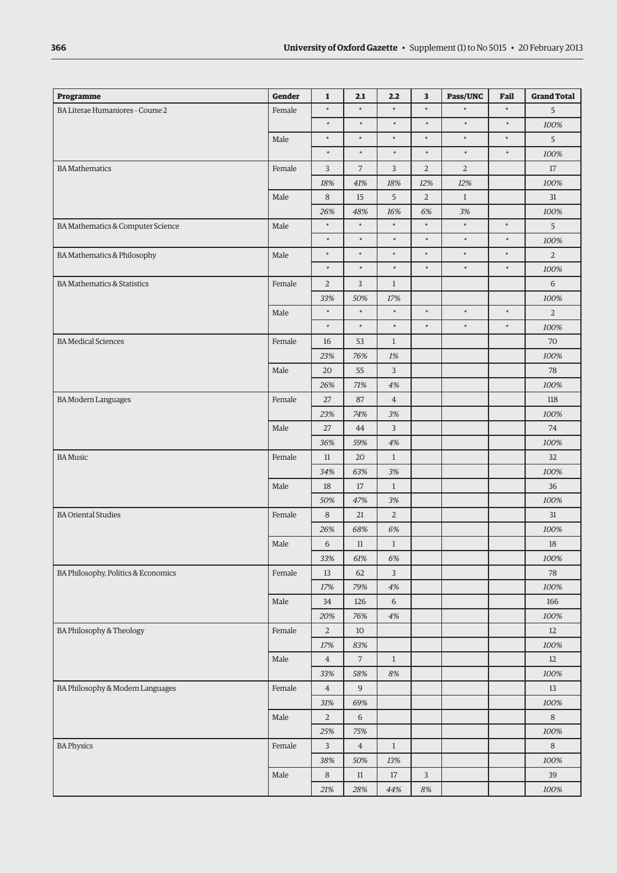| <b>Programme</b>                       | Gender     | $\mathbf{1}$   | 2.1            | 2.2            | 3              | Pass/UNC     | Fail   | <b>Grand Total</b> |
|----------------------------------------|------------|----------------|----------------|----------------|----------------|--------------|--------|--------------------|
| BA Literae Humaniores - Course 2       | Female     | $\ast$         | $\ast$         | $\ast$         | $\ast$         | $\ast$       | $\ast$ | 5                  |
|                                        |            | $\ast$         | $\ast$         | $\ast$         | $\ast$         | $\ast$       | $\ast$ | 100%               |
|                                        | Male       | $\ast$         | $\ast$         | $\ast$         | $\ast$         | $\ast$       | $\ast$ | $5\overline{)}$    |
|                                        |            | $\ast$         | $\ast$         | $\ast$         | $\ast$         | $\ast$       | $\ast$ | 100%               |
| <b>BA</b> Mathematics                  | Female     | 3              | $\overline{7}$ | 3              | $\overline{2}$ | $\sqrt{2}$   |        | 17                 |
|                                        |            | 18%            | 41%            | 18%            | 12%            | 12%          |        | 100%               |
|                                        | Male       | 8              | 15             | 5              | $\overline{2}$ | $\mathbf{1}$ |        | 31                 |
|                                        |            | 26%            | 48%            | 16%            | 6%             | 3%           |        | 100%               |
| BA Mathematics & Computer Science      | Male       | $\ast$         | $\ast$         | $\ast$         | $\ast$         | $\ast$       | $\ast$ | $5\overline{)}$    |
|                                        |            | $\ast$         | $\ast$         | $\ast$         | $\ast$         | $\ast$       | $\ast$ | 100%               |
| BA Mathematics & Philosophy            | Male       | $\ast$         | $\ast$         | $\ast$         | $\ast$         | $\ast$       | $\ast$ | $\overline{2}$     |
|                                        |            | $\ast$         | $\ast$         | $\ast$         | $\ast$         | $\ast$       | $\ast$ | 100%               |
| <b>BA Mathematics &amp; Statistics</b> | Female     | $\overline{2}$ | 3              | $\mathbf{1}$   |                |              |        | 6                  |
|                                        |            | 33%            | 50%            | 17%            |                |              |        | 100%               |
|                                        | Male       | $\ast$         | $\ast$         | $\ast$         | $\ast$         | $\ast$       | $\ast$ | $\overline{2}$     |
|                                        |            | $\ast$         | $\ast$         | $\ast$         | $\ast$         | $\ast$       | $\ast$ | 100%               |
| <b>BA</b> Medical Sciences             | Female     | 16             | 53             | $\mathbf{1}$   |                |              |        | 70                 |
|                                        |            | 23%            | 76%            | 1%             |                |              |        | 100%               |
|                                        | Male       | 20             | 55             | 3              |                |              |        | 78                 |
|                                        |            | 26%            | 71%            | $4\%$          |                |              |        | 100%               |
| <b>BA Modern Languages</b>             | Female     | 27             | 87             | $\,4\,$        |                |              |        | 118                |
|                                        |            | 23%            | 74%            | 3%             |                |              |        | 100%               |
|                                        | Male       | 27             | 44             | $\mathbf{3}$   |                |              |        | 74                 |
|                                        |            | 36%            | 59%            | 4%             |                |              |        | 100%               |
| <b>BA Music</b>                        | Female     | 11             | 20             | $\mathbf{1}$   |                |              |        | 32                 |
|                                        |            | 34%            | 63%            | 3%             |                |              |        | 100%               |
|                                        | Male       | 18             | $17\,$         | $\mathbf{1}$   |                |              |        | 36                 |
|                                        |            | 50%            | 47%            | 3%             |                |              |        | 100%               |
| <b>BA Oriental Studies</b>             | Female     | $\,8\,$        | 21             | $\overline{2}$ |                |              |        | 31                 |
|                                        |            | 26%            | 68%            | $6\%$          |                |              |        | 100%               |
|                                        | Male       | 6              | $11\,$         | $\mathbf{1}$   |                |              |        | 18                 |
|                                        |            | 33%            | 61%            | 6%             |                |              |        | 100%               |
| BA Philosophy, Politics & Economics    | Female     | 13             | 62             | 3              |                |              |        | 78                 |
|                                        |            | 17%            | 79%            | $4\%$          |                |              |        | 100%               |
|                                        | Male       | 34             | 126            | 6              |                |              |        | 166                |
|                                        |            | 20%            | 76%            | 4%             |                |              |        | 100%               |
| BA Philosophy & Theology               | Female     | $\overline{2}$ | 10             |                |                |              |        | 12                 |
|                                        |            | 17%            | 83%            |                |                |              |        | 100%               |
|                                        | Male       | $\overline{4}$ | $\overline{7}$ | $\mathbf{1}$   |                |              |        | 12                 |
|                                        |            | 33%            | 58%            | $8\%$          |                |              |        | 100%               |
| BA Philosophy & Modern Languages       | Female     | $\overline{4}$ | $\overline{9}$ |                |                |              |        | 13                 |
|                                        |            | 31%            | 69%            |                |                |              |        | 100%               |
|                                        | Male       | $\overline{2}$ | 6              |                |                |              |        | $\,8\,$            |
|                                        |            | 25%            | 75%            |                |                |              |        | 100%               |
| <b>BA Physics</b>                      | Female     | 3              | $\overline{4}$ | $\mathbf{1}$   |                |              |        | 8                  |
|                                        |            | 38%            | 50%            | 13%            |                |              |        | 100%               |
|                                        | $\rm Male$ | $\,8\,$        | $11\,$         | $17\,$         | $\overline{3}$ |              |        | 39                 |
|                                        |            | $21\%$         | $28\%$         | 44%            | 8%             |              |        | 100%               |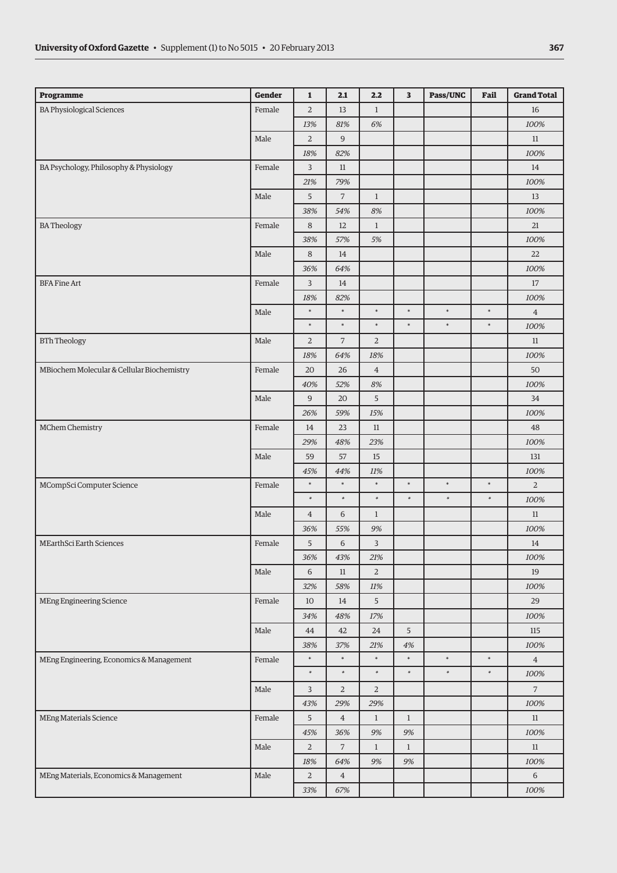| Programme                                  | <b>Gender</b> | $\mathbf{1}$   | 2.1            | 2.2            | 3            | Pass/UNC | Fail   | <b>Grand Total</b> |
|--------------------------------------------|---------------|----------------|----------------|----------------|--------------|----------|--------|--------------------|
| <b>BA Physiological Sciences</b>           | Female        | $\overline{2}$ | 13             | $\mathbf{1}$   |              |          |        | 16                 |
|                                            |               | 13%            | 81%            | 6%             |              |          |        | 100%               |
|                                            | Male          | 2              | 9              |                |              |          |        | 11                 |
|                                            |               | 18%            | 82%            |                |              |          |        | 100%               |
| BA Psychology, Philosophy & Physiology     | Female        | 3              | $11\,$         |                |              |          |        | 14                 |
|                                            |               | 21%            | 79%            |                |              |          |        | 100%               |
|                                            | Male          | 5              | $\overline{7}$ | $\mathbf{1}$   |              |          |        | 13                 |
|                                            |               | 38%            | 54%            | 8%             |              |          |        | 100%               |
| <b>BATheology</b>                          | Female        | 8              | 12             | $\mathbf{1}$   |              |          |        | 21                 |
|                                            |               | 38%            | 57%            | 5%             |              |          |        | 100%               |
|                                            | Male          | 8              | 14             |                |              |          |        | 22                 |
|                                            |               | 36%            | 64%            |                |              |          |        | 100%               |
| <b>BFA Fine Art</b>                        | Female        | 3              | 14             |                |              |          |        | 17                 |
|                                            |               | 18%            | 82%            |                |              |          |        | 100%               |
|                                            | Male          | $\ast$         | $\ast$         | $\ast$         | $\ast$       | $\ast$   | $\ast$ | $\overline{4}$     |
|                                            |               | $\ast$         | $\ast$         | $\ast$         | $\ast$       | $\ast$   | $\ast$ | 100%               |
| <b>BTh Theology</b>                        | Male          | $\overline{2}$ | $\overline{7}$ | $\overline{2}$ |              |          |        | 11                 |
|                                            |               | 18%            | 64%            | 18%            |              |          |        | 100%               |
| MBiochem Molecular & Cellular Biochemistry | Female        | 20             | 26             | $\bf{4}$       |              |          |        | 50                 |
|                                            |               | 40%            | 52%            | 8%             |              |          |        | 100%               |
|                                            | Male          | 9              | 20             | 5              |              |          |        | 34                 |
|                                            |               | 26%            | 59%            | 15%            |              |          |        | 100%               |
| MChem Chemistry                            | Female        | 14             | 23             | $11\,$         |              |          |        | 48                 |
|                                            |               | 29%            | 48%            | 23%            |              |          |        | 100%               |
|                                            | Male          | 59             | 57             | 15             |              |          |        | 131                |
|                                            |               | 45%            | 44%            | 11%            |              |          |        | 100%               |
| MCompSci Computer Science                  | Female        | $\ast$         | $\ast$         | $\ast$         | $\ast$       | $\ast$   | $\ast$ | $\mathbf{2}$       |
|                                            |               | $\ast$         | $\ast$         | $\ast$         | $\ast$       | $\ast$   | $\ast$ | 100%               |
|                                            | Male          | $\overline{4}$ | 6              | $\mathbf{1}$   |              |          |        | $11\,$             |
|                                            |               | 36%            | 55%            | 9%             |              |          |        | 100%               |
| MEarthSci Earth Sciences                   | Female        | 5              | 6              | $\overline{3}$ |              |          |        | 14                 |
|                                            |               | 36%            | 43%            | $21\%$         |              |          |        | 100%               |
|                                            | Male          | 6              | $11\,$         | $\overline{2}$ |              |          |        | 19                 |
|                                            |               | 32%            | 58%            | 11%            |              |          |        | 100%               |
| <b>MEng Engineering Science</b>            | Female        | 10             | 14             | $\overline{5}$ |              |          |        | 29                 |
|                                            |               | 34%            | 48%            | 17%            |              |          |        | 100%               |
|                                            | Male          | 44             | 42             | 24             | 5            |          |        | 115                |
|                                            |               | 38%            | 37%            | 21%            | 4%           |          |        | 100%               |
| MEng Engineering, Economics & Management   | Female        | $\ast$         | $\ast$         | $\ast$         | $\ast$       | $\ast$   | $\ast$ | $\overline{4}$     |
|                                            |               | $\ast$         | $\ast$         | $\ast$         | $\ast$       | $\ast$   | $\ast$ | 100%               |
|                                            | Male          | $\overline{3}$ | $\sqrt{2}$     | $\overline{2}$ |              |          |        | $7\overline{ }$    |
|                                            |               | 43%            | 29%            | 29%            |              |          |        | 100%               |
| MEng Materials Science                     | Female        | 5              | $\overline{4}$ | $\mathbf{1}$   | $\mathbf{1}$ |          |        | 11                 |
|                                            |               | 45%            | 36%            | 9%             | 9%           |          |        | 100%               |
|                                            | Male          | $\overline{2}$ | $\overline{7}$ | $\mathbf{1}$   | $\mathbf{1}$ |          |        | 11                 |
|                                            |               | 18%            | 64%            | 9%             | 9%           |          |        | 100%               |
| MEng Materials, Economics & Management     | Male          | $\overline{2}$ | $\overline{4}$ |                |              |          |        | 6                  |
|                                            |               | 33%            | 67%            |                |              |          |        | 100%               |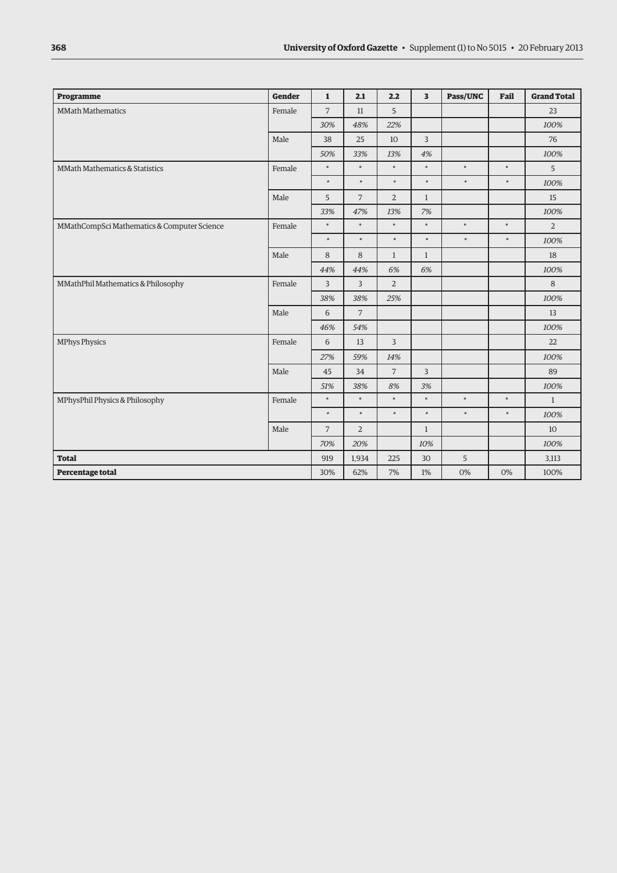| Programme                                   | <b>Gender</b> | $\mathbf{1}$   | 2.1            | 2.2            | $\overline{\mathbf{3}}$ | Pass/UNC | Fail   | <b>Grand Total</b> |
|---------------------------------------------|---------------|----------------|----------------|----------------|-------------------------|----------|--------|--------------------|
| <b>MMath Mathematics</b>                    | Female        | $\overline{7}$ | 11             | 5              |                         |          |        | 23                 |
|                                             |               | 30%            | 48%            | 22%            |                         |          |        | 100%               |
|                                             | Male          | 38             | 25             | 10             | $\overline{3}$          |          |        | 76                 |
|                                             |               | 50%            | 33%            | 13%            | 4%                      |          |        | 100%               |
| MMath Mathematics & Statistics              | Female        | $\ast$         | $\ast$         | $\ast$         | $\ast$                  | $\ast$   | $\ast$ | 5                  |
|                                             |               | $\ast$         | $\ast$         | $\ast$         | $\ast$                  | $\ast$   | $\ast$ | 100%               |
|                                             | Male          | 5              | $\overline{7}$ | $\overline{2}$ | $\mathbf{1}$            |          |        | 15                 |
|                                             |               | 33%            | 47%            | 13%            | 7%                      |          |        | 100%               |
| MMathCompSci Mathematics & Computer Science | Female        | $\ast$         | $\ast$         | $\ast$         | $\ast$                  | $\ast$   | $\ast$ | $\overline{2}$     |
|                                             |               | $\ast$         | $\ast$         | $\ast$         | $\ast$                  | $\ast$   | $\ast$ | 100%               |
|                                             | Male          | 8              | 8              | $\mathbf{1}$   | $\mathbf{1}$            |          |        | 18                 |
|                                             |               | 44%            | 44%            | 6%             | 6%                      |          |        | 100%               |
| MMathPhil Mathematics & Philosophy          | Female        | $\overline{3}$ | $\overline{3}$ | $\overline{2}$ |                         |          |        | 8                  |
|                                             |               | 38%            | 38%            | 25%            |                         |          |        | 100%               |
|                                             | Male          | 6              | $\overline{7}$ |                |                         |          |        | 13                 |
|                                             |               | 46%            | 54%            |                |                         |          |        | 100%               |
| <b>MPhys Physics</b>                        | Female        | 6              | 13             | 3              |                         |          |        | 22                 |
|                                             |               | 27%            | 59%            | 14%            |                         |          |        | 100%               |
|                                             | Male          | 45             | 34             | 7              | 3                       |          |        | 89                 |
|                                             |               | 51%            | 38%            | 8%             | 3%                      |          |        | 100%               |
| MPhysPhil Physics & Philosophy              | Female        | $\ast$         | $\ast$         | $\ast$         | $\ast$                  | $\ast$   | $\ast$ | $\mathbf{1}$       |
|                                             |               | $\ast$         | $\ast$         | $\ast$         | $\ast$                  | $\ast$   | $\ast$ | 100%               |
|                                             | Male          | $\overline{7}$ | $\overline{2}$ |                | $\mathbf{1}$            |          |        | 10                 |
|                                             |               | 70%            | 20%            |                | 10%                     |          |        | 100%               |
| <b>Total</b>                                |               | 919            | 1,934          | 225            | 30                      | 5        |        | 3,113              |
| Percentage total                            |               | 30%            | 62%            | 7%             | 1%                      | 0%       | 0%     | 100%               |